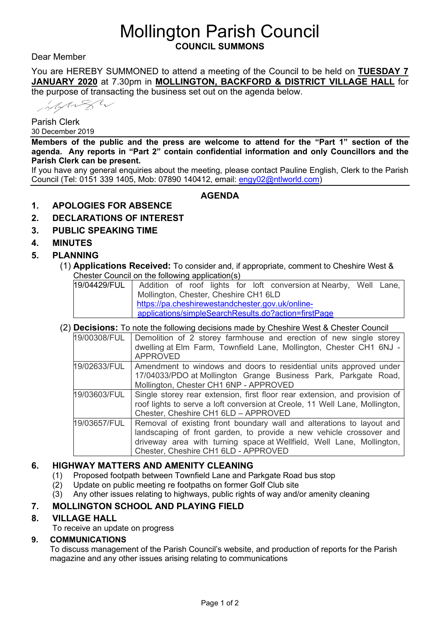# Mollington Parish Council **COUNCIL SUMMONS**

Dear Member

You are HEREBY SUMMONED to attend a meeting of the Council to be held on **TUESDAY 7 JANUARY 2020** at 7.30pm in **MOLLINGTON, BACKFORD & DISTRICT VILLAGE HALL** for the purpose of transacting the business set out on the agenda below.

Minger

Parish Clerk 30 December 2019

**Members of the public and the press are welcome to attend for the "Part 1" section of the agenda. Any reports in "Part 2" contain confidential information and only Councillors and the Parish Clerk can be present.**

If you have any general enquiries about the meeting, please contact Pauline English, Clerk to the Parish Council (Tel: 0151 339 1405, Mob: 07890 140412, email: [engy02@ntlworld.com\)](mailto:engy02@ntlworld.com)

**AGENDA**

## **1. APOLOGIES FOR ABSENCE**

- **2. DECLARATIONS OF INTEREST**
- **3. PUBLIC SPEAKING TIME**

## **4. MINUTES**

## **5. PLANNING**

(1) **Applications Received:** To consider and, if appropriate, comment to Cheshire West & Chester Council on the following application(s)

| 19/04429/FUL   Addition of roof lights for loft conversion at Nearby, Well Lane, |  |
|----------------------------------------------------------------------------------|--|
| Mollington, Chester, Cheshire CH1 6LD                                            |  |
| I https://pa.cheshirewestandchester.gov.uk/online-                               |  |
| applications/simpleSearchResults.do?action=firstPage                             |  |

### (2) **Decisions:** To note the following decisions made by Cheshire West & Chester Council

| 19/00308/FUL | Demolition of 2 storey farmhouse and erection of new single storey<br>dwelling at Elm Farm, Townfield Lane, Mollington, Chester CH1 6NJ -<br><b>APPROVED</b>                                                                                                  |  |
|--------------|---------------------------------------------------------------------------------------------------------------------------------------------------------------------------------------------------------------------------------------------------------------|--|
| 19/02633/FUL | Amendment to windows and doors to residential units approved under<br>17/04033/PDO at Mollington Grange Business Park, Parkgate Road,<br>Mollington, Chester CH1 6NP - APPROVED                                                                               |  |
| 19/03603/FUL | Single storey rear extension, first floor rear extension, and provision of<br>roof lights to serve a loft conversion at Creole, 11 Well Lane, Mollington,<br>Chester, Cheshire CH1 6LD - APPROVED                                                             |  |
| 19/03657/FUL | Removal of existing front boundary wall and alterations to layout and<br>landscaping of front garden, to provide a new vehicle crossover and<br>driveway area with turning space at Wellfield, Well Lane, Mollington,<br>Chester, Cheshire CH1 6LD - APPROVED |  |

# **6. HIGHWAY MATTERS AND AMENITY CLEANING**

- (1) Proposed footpath between Townfield Lane and Parkgate Road bus stop
- (2) Update on public meeting re footpaths on former Golf Club site
- (3) Any other issues relating to highways, public rights of way and/or amenity cleaning

# **7. MOLLINGTON SCHOOL AND PLAYING FIELD**

### **8. VILLAGE HALL**

To receive an update on progress

### **9. COMMUNICATIONS**

To discuss management of the Parish Council's website, and production of reports for the Parish magazine and any other issues arising relating to communications